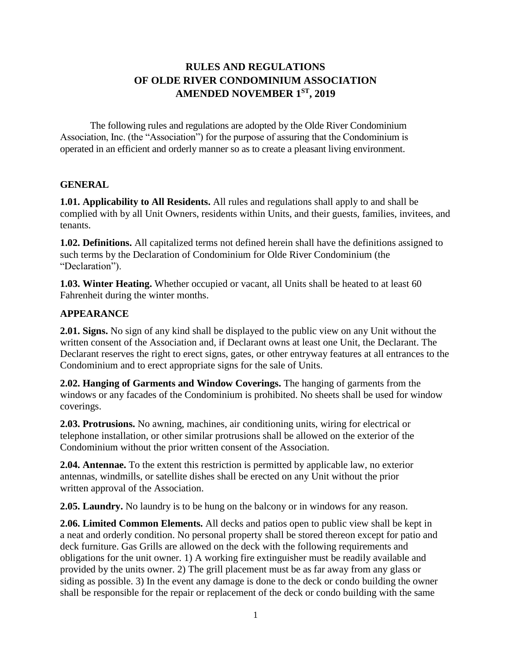# **RULES AND REGULATIONS OF OLDE RIVER CONDOMINIUM ASSOCIATION AMENDED NOVEMBER 1ST , 2019**

The following rules and regulations are adopted by the Olde River Condominium Association, Inc. (the "Association") for the purpose of assuring that the Condominium is operated in an efficient and orderly manner so as to create a pleasant living environment.

### **GENERAL**

**1.01. Applicability to All Residents.** All rules and regulations shall apply to and shall be complied with by all Unit Owners, residents within Units, and their guests, families, invitees, and tenants.

**1.02. Definitions.** All capitalized terms not defined herein shall have the definitions assigned to such terms by the Declaration of Condominium for Olde River Condominium (the "Declaration").

**1.03. Winter Heating.** Whether occupied or vacant, all Units shall be heated to at least 60 Fahrenheit during the winter months.

### **APPEARANCE**

**2.01. Signs.** No sign of any kind shall be displayed to the public view on any Unit without the written consent of the Association and, if Declarant owns at least one Unit, the Declarant. The Declarant reserves the right to erect signs, gates, or other entryway features at all entrances to the Condominium and to erect appropriate signs for the sale of Units.

**2.02. Hanging of Garments and Window Coverings.** The hanging of garments from the windows or any facades of the Condominium is prohibited. No sheets shall be used for window coverings.

**2.03. Protrusions.** No awning, machines, air conditioning units, wiring for electrical or telephone installation, or other similar protrusions shall be allowed on the exterior of the Condominium without the prior written consent of the Association.

**2.04. Antennae.** To the extent this restriction is permitted by applicable law, no exterior antennas, windmills, or satellite dishes shall be erected on any Unit without the prior written approval of the Association.

**2.05. Laundry.** No laundry is to be hung on the balcony or in windows for any reason.

**2.06. Limited Common Elements.** All decks and patios open to public view shall be kept in a neat and orderly condition. No personal property shall be stored thereon except for patio and deck furniture. Gas Grills are allowed on the deck with the following requirements and obligations for the unit owner. 1) A working fire extinguisher must be readily available and provided by the units owner. 2) The grill placement must be as far away from any glass or siding as possible. 3) In the event any damage is done to the deck or condo building the owner shall be responsible for the repair or replacement of the deck or condo building with the same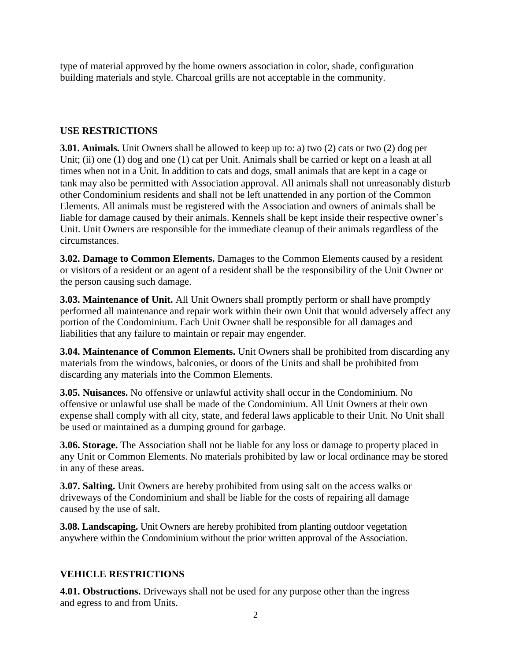type of material approved by the home owners association in color, shade, configuration building materials and style. Charcoal grills are not acceptable in the community.

# **USE RESTRICTIONS**

**3.01. Animals.** Unit Owners shall be allowed to keep up to: a) two (2) cats or two (2) dog per Unit; (ii) one (1) dog and one (1) cat per Unit. Animals shall be carried or kept on a leash at all times when not in a Unit. In addition to cats and dogs, small animals that are kept in a cage or tank may also be permitted with Association approval. All animals shall not unreasonably disturb other Condominium residents and shall not be left unattended in any portion of the Common Elements. All animals must be registered with the Association and owners of animals shall be liable for damage caused by their animals. Kennels shall be kept inside their respective owner's Unit. Unit Owners are responsible for the immediate cleanup of their animals regardless of the circumstances.

**3.02. Damage to Common Elements.** Damages to the Common Elements caused by a resident or visitors of a resident or an agent of a resident shall be the responsibility of the Unit Owner or the person causing such damage.

**3.03. Maintenance of Unit.** All Unit Owners shall promptly perform or shall have promptly performed all maintenance and repair work within their own Unit that would adversely affect any portion of the Condominium. Each Unit Owner shall be responsible for all damages and liabilities that any failure to maintain or repair may engender.

**3.04. Maintenance of Common Elements.** Unit Owners shall be prohibited from discarding any materials from the windows, balconies, or doors of the Units and shall be prohibited from discarding any materials into the Common Elements.

**3.05. Nuisances.** No offensive or unlawful activity shall occur in the Condominium. No offensive or unlawful use shall be made of the Condominium. All Unit Owners at their own expense shall comply with all city, state, and federal laws applicable to their Unit. No Unit shall be used or maintained as a dumping ground for garbage.

**3.06. Storage.** The Association shall not be liable for any loss or damage to property placed in any Unit or Common Elements. No materials prohibited by law or local ordinance may be stored in any of these areas.

**3.07. Salting.** Unit Owners are hereby prohibited from using salt on the access walks or driveways of the Condominium and shall be liable for the costs of repairing all damage caused by the use of salt.

**3.08. Landscaping.** Unit Owners are hereby prohibited from planting outdoor vegetation anywhere within the Condominium without the prior written approval of the Association.

## **VEHICLE RESTRICTIONS**

**4.01. Obstructions.** Driveways shall not be used for any purpose other than the ingress and egress to and from Units.